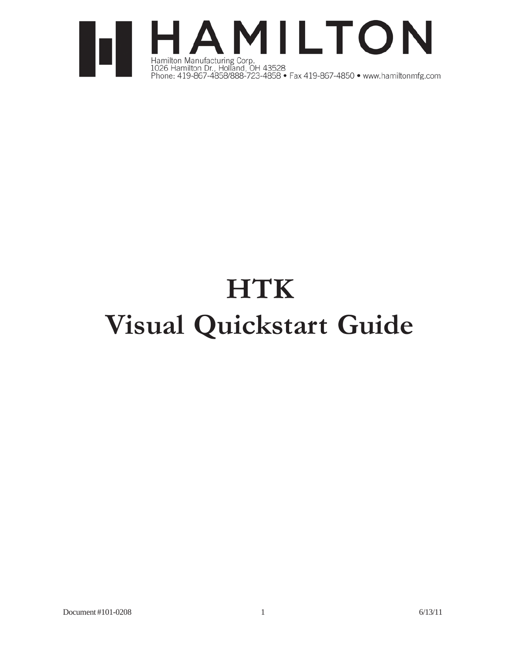

# **HTK Visual Quickstart Guide**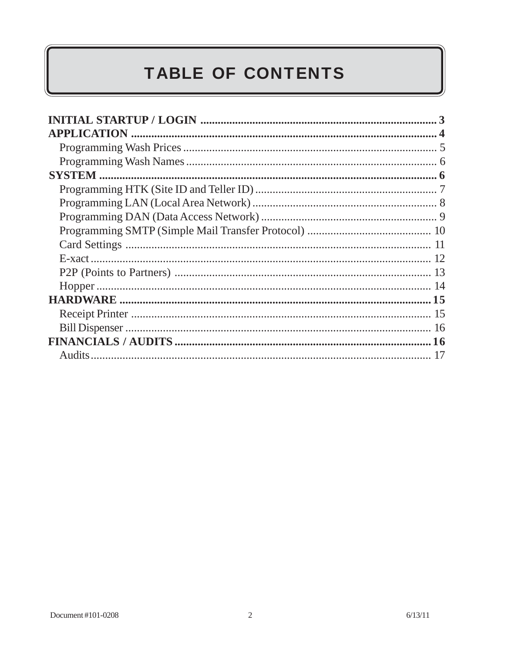### **TABLE OF CONTENTS**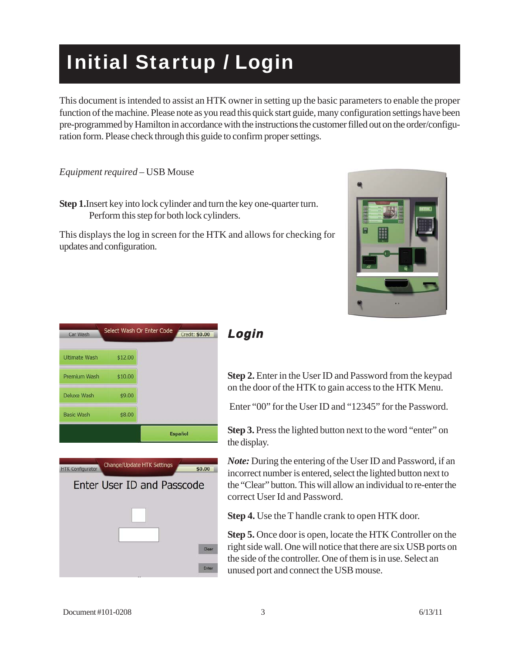### Initial Startup / Login

This document is intended to assist an HTK owner in setting up the basic parameters to enable the proper function of the machine. Please note as you read this quick start guide, many configuration settings have been pre-programmed by Hamilton in accordance with the instructions the customer filled out on the order/configuration form. Please check through this guide to confirm proper settings.

*Equipment required* – USB Mouse

**Step 1.**Insert key into lock cylinder and turn the key one-quarter turn. Perform this step for both lock cylinders.

This displays the log in screen for the HTK and allows for checking for updates and configuration.







#### Login

**Step 2.** Enter in the User ID and Password from the keypad on the door of the HTK to gain access to the HTK Menu.

Enter "00" for the User ID and "12345" for the Password.

**Step 3.** Press the lighted button next to the word "enter" on the display.

*Note:* During the entering of the User ID and Password, if an incorrect number is entered, select the lighted button next to the "Clear" button. This will allow an individual to re-enter the correct User Id and Password.

**Step 4.** Use the T handle crank to open HTK door.

**Step 5.** Once door is open, locate the HTK Controller on the right side wall. One will notice that there are six USB ports on the side of the controller. One of them is in use. Select an unused port and connect the USB mouse.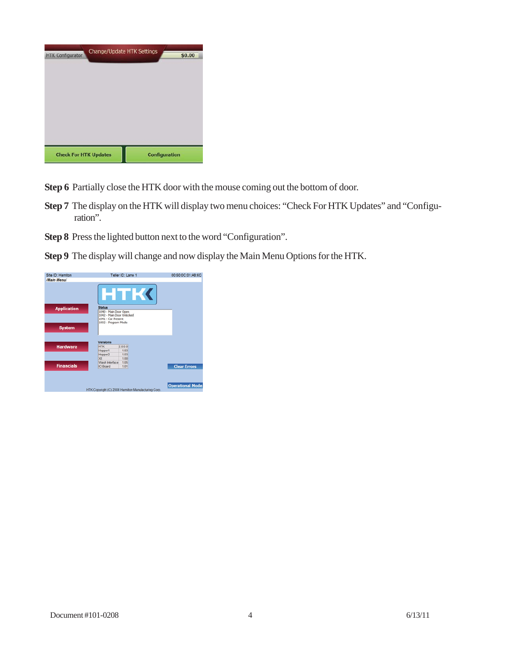| Change/Update HTK Settings<br><b>HTK Configurator</b> | \$0.00               |
|-------------------------------------------------------|----------------------|
|                                                       |                      |
|                                                       |                      |
|                                                       |                      |
|                                                       |                      |
|                                                       |                      |
| <b>Check For HTK Updates</b>                          | <b>Configuration</b> |

- **Step 6** Partially close the HTK door with the mouse coming out the bottom of door.
- **Step 7** The display on the HTK will display two menu choices: "Check For HTK Updates" and "Configuration".
- **Step 8** Press the lighted button next to the word "Configuration".
- **Step 9** The display will change and now display the Main Menu Options for the HTK.

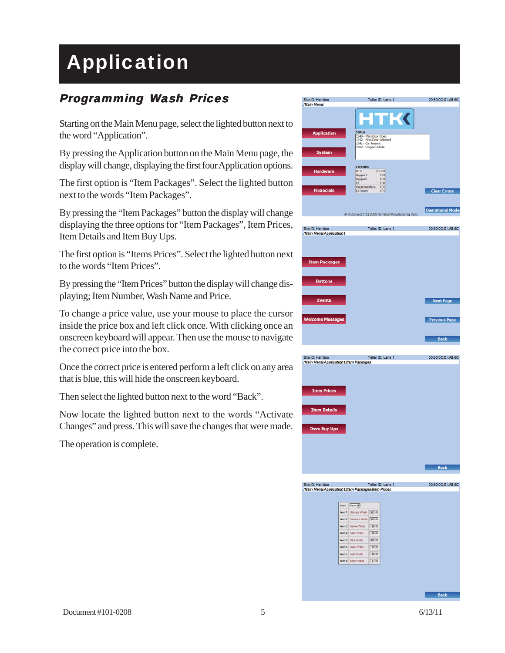## Application

#### Programming Wash Prices

Starting on the Main Menu page, select the lighted button next to the word "Application".

By pressing the Application button on the Main Menu page, the display will change, displaying the first four Application options.

The first option is "Item Packages". Select the lighted button next to the words "Item Packages".

By pressing the "Item Packages" button the display will change displaying the three options for "Item Packages", Item Prices, Item Details and Item Buy Ups.

The first option is "Items Prices". Select the lighted button next to the words "Item Prices".

By pressing the "Item Prices" button the display will change displaying; Item Number, Wash Name and Price.

To change a price value, use your mouse to place the cursor inside the price box and left click once. With clicking once an onscreen keyboard will appear. Then use the mouse to navigate the correct price into the box.

Once the correct price is entered perform a left click on any area that is blue, this will hide the onscreen keyboard.

Then select the lighted button next to the word "Back".

Now locate the lighted button next to the words "Activate Changes" and press. This will save the changes that were made.

The operation is complete.





**Back**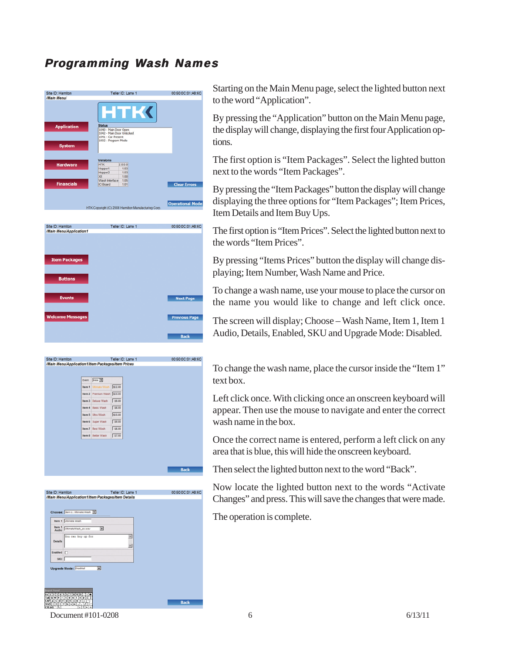#### Programming Wash Names



| Site ID: Hamiton |                                                   | Teller ID: Lane 1 | 00:60:0C:01:A8:6C |
|------------------|---------------------------------------------------|-------------------|-------------------|
|                  | /Main Menu/Application1/Item Packages/Item Prices |                   |                   |
|                  |                                                   |                   |                   |
|                  |                                                   |                   |                   |
|                  | Base [w]<br>Event                                 |                   |                   |
|                  | <b>Item 1 Ultimate Wash</b>                       | \$12.00           |                   |
|                  | Item 2 Premium Wash \$10.00                       |                   |                   |
|                  | Item 3 Deluxe Wash                                | \$9.00            |                   |
|                  | Item 4 Basic Wash                                 | \$8.00            |                   |
|                  | Item 5 Ultra Wash                                 | \$10.00           |                   |
|                  | Item 6 Super Wash                                 | \$9.00            |                   |
|                  | Item 7 Best Wash                                  | \$8.00            |                   |
|                  | Item 8 Better Wash                                | \$7.00            |                   |
|                  |                                                   |                   |                   |
|                  |                                                   |                   |                   |
|                  |                                                   |                   |                   |
|                  |                                                   |                   |                   |
|                  |                                                   |                   |                   |
|                  |                                                   |                   |                   |
|                  |                                                   |                   | <b>Back</b>       |
|                  |                                                   |                   |                   |
|                  |                                                   |                   |                   |

|                 | Item 1 Ultimate Wash               |  |
|-----------------|------------------------------------|--|
| Item 1<br>Audio | UltimateWash_en.wav<br>▾           |  |
| <b>Details</b>  | You can buy up for                 |  |
| <b>Enabled</b>  | ın                                 |  |
| <b>SKU</b>      |                                    |  |
|                 | <b>Upgrade Mode: Disabled</b><br>≖ |  |

Starting on the Main Menu page, select the lighted button next to the word "Application".

By pressing the "Application" button on the Main Menu page, the display will change, displaying the first four Application options.

The first option is "Item Packages". Select the lighted button next to the words "Item Packages".

By pressing the "Item Packages" button the display will change displaying the three options for "Item Packages"; Item Prices, Item Details and Item Buy Ups.

The first option is "Item Prices". Select the lighted button next to the words "Item Prices".

By pressing "Items Prices" button the display will change displaying; Item Number, Wash Name and Price.

To change a wash name, use your mouse to place the cursor on the name you would like to change and left click once.

The screen will display; Choose – Wash Name, Item 1, Item 1 Audio, Details, Enabled, SKU and Upgrade Mode: Disabled.

To change the wash name, place the cursor inside the "Item 1" text box.

Left click once. With clicking once an onscreen keyboard will appear. Then use the mouse to navigate and enter the correct wash name in the box.

Once the correct name is entered, perform a left click on any area that is blue, this will hide the onscreen keyboard.

Then select the lighted button next to the word "Back".

Now locate the lighted button next to the words "Activate Changes" and press. This will save the changes that were made.

The operation is complete.

 $Document #101-0208$  6/13/11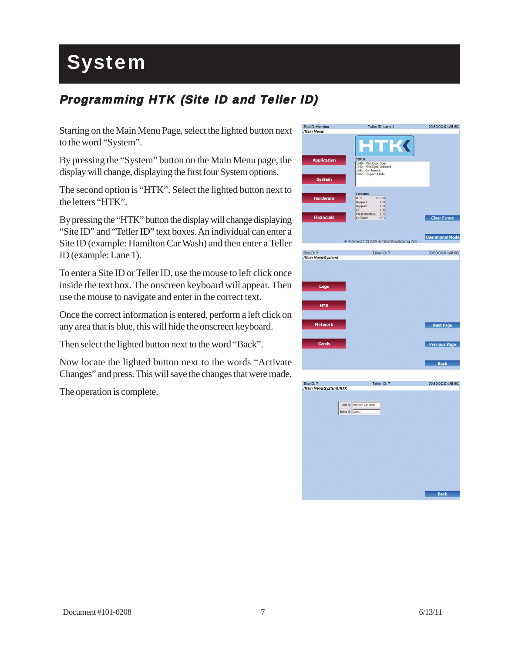# **System**

#### Programming HTK (Site ID and Teller ID)

Starting on the Main Menu Page, select the lighted button next to the word "System".

By pressing the "System" button on the Main Menu page, the display will change, displaying the first four System options.

The second option is "HTK". Select the lighted button next to the letters "HTK".

By pressing the "HTK" button the display will change displaying "Site ID" and "Teller ID" text boxes. An individual can enter a Site ID (example: Hamilton Car Wash) and then enter a Teller ID (example: Lane 1).

To enter a Site ID or Teller ID, use the mouse to left click once inside the text box. The onscreen keyboard will appear. Then use the mouse to navigate and enter in the correct text.

Once the correct information is entered, perform a left click on any area that is blue, this will hide the onscreen keyboard.

Then select the lighted button next to the word "Back".

Now locate the lighted button next to the words "Activate Changes" and press. This will save the changes that were made.

The operation is complete.





Back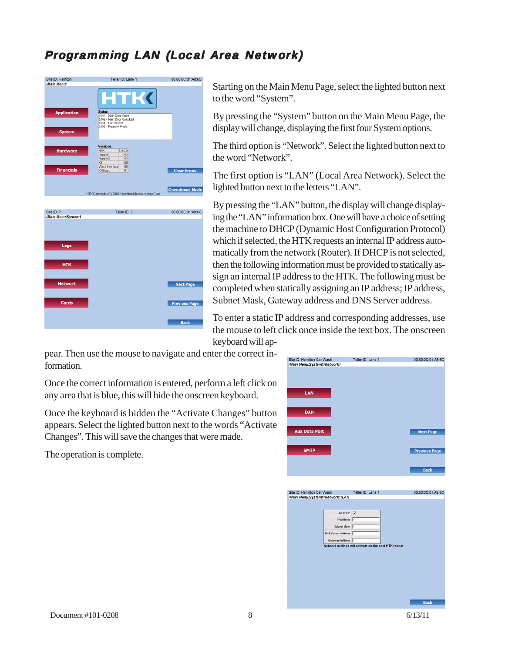#### Programming LAN (Local Area Network)



Starting on the Main Menu Page, select the lighted button next to the word "System".

By pressing the "System" button on the Main Menu Page, the display will change, displaying the first four System options.

The third option is "Network". Select the lighted button next to the word "Network".

The first option is "LAN" (Local Area Network). Select the lighted button next to the letters "LAN".

By pressing the "LAN" button, the display will change displaying the "LAN" information box. One will have a choice of setting the machine to DHCP (Dynamic Host Configuration Protocol) which if selected, the HTK requests an internal IP address automatically from the network (Router). If DHCP is not selected, then the following information must be provided to statically assign an internal IP address to the HTK. The following must be completed when statically assigning an IP address; IP address, Subnet Mask, Gateway address and DNS Server address.

To enter a static IP address and corresponding addresses, use the mouse to left click once inside the text box. The onscreen keyboard will ap-

pear. Then use the mouse to navigate and enter the correct information.

| ormation.                                                                                                                                                                          |   | Site ID: Hamilton Car Wash<br>/Main Menu/System1/Network1                                                                                                                     | Teller ID: Lane 1                                                        | 00:60:0C:01:A8:6C    |
|------------------------------------------------------------------------------------------------------------------------------------------------------------------------------------|---|-------------------------------------------------------------------------------------------------------------------------------------------------------------------------------|--------------------------------------------------------------------------|----------------------|
| Once the correct information is entered, perform a left click on<br>ny area that is blue, this will hide the onscreen keyboard.                                                    |   | LAN                                                                                                                                                                           |                                                                          |                      |
| Ince the keyboard is hidden the "Activate Changes" button<br>ppears. Select the lighted button next to the words "Activate"<br>hanges". This will save the changes that were made. |   | <b>DAN</b><br><b>Aux Data Port</b>                                                                                                                                            |                                                                          | <b>Next Page</b>     |
| The operation is complete.                                                                                                                                                         |   | <b>SMTP</b>                                                                                                                                                                   |                                                                          | <b>Previous Page</b> |
|                                                                                                                                                                                    |   |                                                                                                                                                                               |                                                                          | <b>Back</b>          |
|                                                                                                                                                                                    |   | Site ID: Hamilton Car Wash<br>/Main Menu/System1/Network1/LAN<br>Use DHCP V<br><b>IP Address</b><br><b>Subnet Mask</b><br><b>DNS Server Address</b><br><b>Gateway Address</b> | Teller ID: Lane<br>Network settings will activate on the next HTK reboot | 00:60:0C:01:A8:6C    |
|                                                                                                                                                                                    |   |                                                                                                                                                                               |                                                                          | <b>Back</b>          |
| Document #101-0208                                                                                                                                                                 | 8 |                                                                                                                                                                               |                                                                          | 6/13/11              |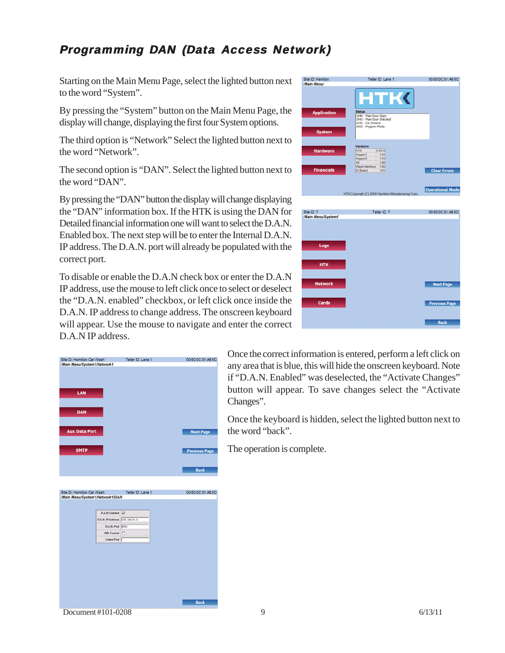#### Programming DAN (Data Access Network)

Starting on the Main Menu Page, select the lighted button next to the word "System".

By pressing the "System" button on the Main Menu Page, the display will change, displaying the first four System options.

The third option is "Network" Select the lighted button next to the word "Network".

The second option is "DAN". Select the lighted button next to the word "DAN".

By pressing the "DAN" button the display will change displaying the "DAN" information box. If the HTK is using the DAN for Detailed financial information one will want to select the D.A.N. Enabled box. The next step will be to enter the Internal D.A.N. IP address. The D.A.N. port will already be populated with the correct port.

To disable or enable the D.A.N check box or enter the D.A.N IP address, use the mouse to left click once to select or deselect the "D.A.N. enabled" checkbox, or left click once inside the D.A.N. IP address to change address. The onscreen keyboard will appear. Use the mouse to navigate and enter the correct D.A.N IP address.





Once the correct information is entered, perform a left click on any area that is blue, this will hide the onscreen keyboard. Note if "D.A.N. Enabled" was deselected, the "Activate Changes" button will appear. To save changes select the "Activate Changes".

Once the keyboard is hidden, select the lighted button next to the word "back".

The operation is complete.

Document #101-0208 9 6/13/11

**Back**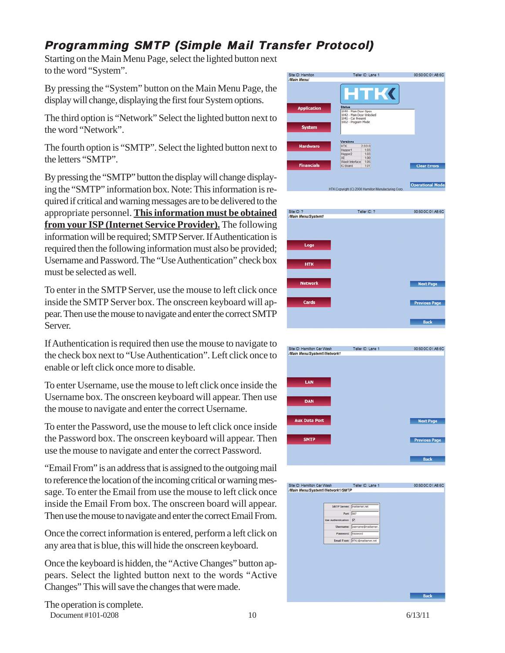#### Programming SMTP (Simple Mail Transfer Protocol)

Starting on the Main Menu Page, select the lighted button next to the word "System".

By pressing the "System" button on the Main Menu Page, the display will change, displaying the first four System options.

The third option is "Network" Select the lighted button next to the word "Network".

The fourth option is "SMTP". Select the lighted button next to the letters "SMTP".

By pressing the "SMTP" button the display will change displaying the "SMTP" information box. Note: This information is required if critical and warning messages are to be delivered to the appropriate personnel. **This information must be obtained from your ISP (Internet Service Provider).** The following information will be required; SMTP Server. If Authentication is required then the following information must also be provided; Username and Password. The "Use Authentication" check box must be selected as well.

To enter in the SMTP Server, use the mouse to left click once inside the SMTP Server box. The onscreen keyboard will appear. Then use the mouse to navigate and enter the correct SMTP Server.

If Authentication is required then use the mouse to navigate to the check box next to "Use Authentication". Left click once to enable or left click once more to disable.

To enter Username, use the mouse to left click once inside the Username box. The onscreen keyboard will appear. Then use the mouse to navigate and enter the correct Username.

To enter the Password, use the mouse to left click once inside the Password box. The onscreen keyboard will appear. Then use the mouse to navigate and enter the correct Password.

"Email From" is an address that is assigned to the outgoing mail to reference the location of the incoming critical or warning message. To enter the Email from use the mouse to left click once inside the Email From box. The onscreen board will appear. Then use the mouse to navigate and enter the correct Email From.

Once the correct information is entered, perform a left click on any area that is blue, this will hide the onscreen keyboard.

Once the keyboard is hidden, the "Active Changes" button appears. Select the lighted button next to the words "Active Changes" This will save the changes that were made.









Document #101-0208 10 6/13/11 The operation is complete.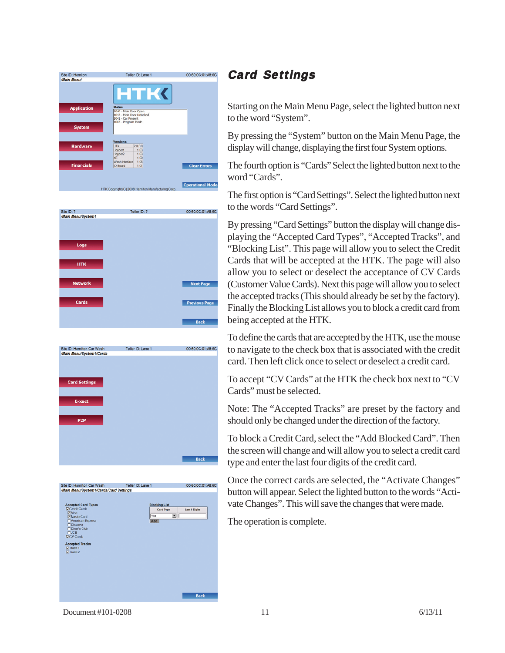







#### Card Settings

Starting on the Main Menu Page, select the lighted button next to the word "System".

By pressing the "System" button on the Main Menu Page, the display will change, displaying the first four System options.

The fourth option is "Cards" Select the lighted button next to the word "Cards".

The first option is "Card Settings". Select the lighted button next to the words "Card Settings".

By pressing "Card Settings" button the display will change displaying the "Accepted Card Types", "Accepted Tracks", and "Blocking List". This page will allow you to select the Credit Cards that will be accepted at the HTK. The page will also allow you to select or deselect the acceptance of CV Cards (Customer Value Cards). Next this page will allow you to select the accepted tracks (This should already be set by the factory). Finally the Blocking List allows you to block a credit card from being accepted at the HTK.

To define the cards that are accepted by the HTK, use the mouse to navigate to the check box that is associated with the credit card. Then left click once to select or deselect a credit card.

To accept "CV Cards" at the HTK the check box next to "CV Cards" must be selected.

Note: The "Accepted Tracks" are preset by the factory and should only be changed under the direction of the factory.

To block a Credit Card, select the "Add Blocked Card". Then the screen will change and will allow you to select a credit card type and enter the last four digits of the credit card.

Once the correct cards are selected, the "Activate Changes" button will appear. Select the lighted button to the words "Activate Changes". This will save the changes that were made.

The operation is complete.

Document #101-0208 11 6/13/11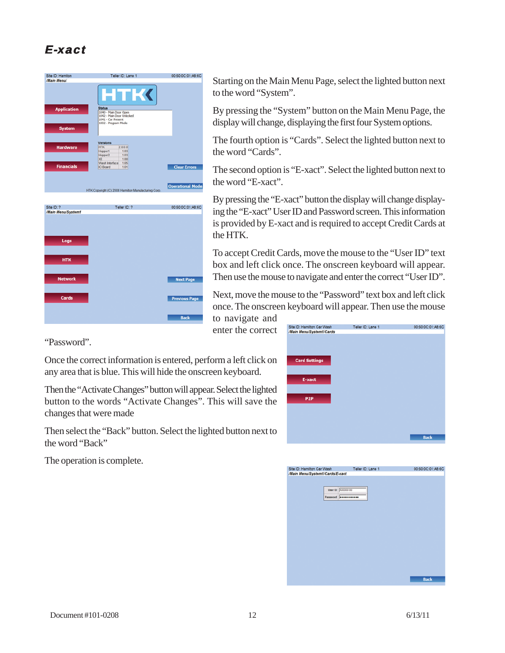#### E-xact



Starting on the Main Menu Page, select the lighted button next to the word "System".

By pressing the "System" button on the Main Menu Page, the display will change, displaying the first four System options.

The fourth option is "Cards". Select the lighted button next to the word "Cards".

The second option is "E-xact". Select the lighted button next to the word "E-xact".

By pressing the "E-xact" button the display will change displaying the "E-xact" User ID and Password screen. This information is provided by E-xact and is required to accept Credit Cards at the HTK.

To accept Credit Cards, move the mouse to the "User ID" text box and left click once. The onscreen keyboard will appear. Then use the mouse to navigate and enter the correct "User ID".

Next, move the mouse to the "Password" text box and left click once. The onscreen keyboard will appear. Then use the mouse to navigate and

enter the correct

"Password".

Once the correct information is entered, perform a left click on any area that is blue. This will hide the onscreen keyboard.

Then the "Activate Changes" button will appear. Select the lighted button to the words "Activate Changes". This will save the changes that were made

Then select the "Back" button. Select the lighted button next to the word "Back"



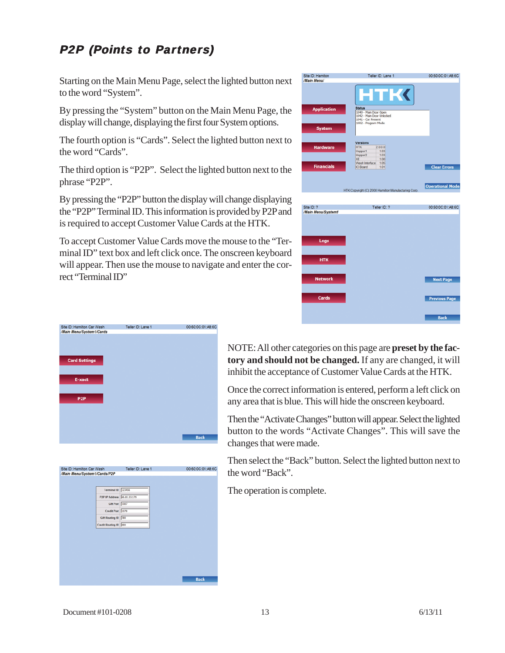#### P2P (Points to Partners)

Starting on the Main Menu Page, select the lighted button next to the word "System".

By pressing the "System" button on the Main Menu Page, the display will change, displaying the first four System options.

The fourth option is "Cards". Select the lighted button next to the word "Cards".

The third option is "P2P". Select the lighted button next to the phrase "P2P".

By pressing the "P2P" button the display will change displaying the "P2P" Terminal ID. This information is provided by P2P and is required to accept Customer Value Cards at the HTK.

To accept Customer Value Cards move the mouse to the "Terminal ID" text box and left click once. The onscreen keyboard will appear. Then use the mouse to navigate and enter the correct "Terminal ID"

| Site ID: Hamiton   | Teller ID: Lane 1                                                        | 00:60:0C:01:A8:6C       |
|--------------------|--------------------------------------------------------------------------|-------------------------|
| /Main Menu/        |                                                                          |                         |
|                    | <b>HTK</b>                                                               |                         |
| <b>Application</b> | <b>Status</b>                                                            |                         |
|                    | 1040 - Main Door Open<br>1042 - Main Door Unlocked<br>1041 - Car Present |                         |
|                    | 1002 - Program Mode                                                      |                         |
| <b>System</b>      |                                                                          |                         |
|                    | <b>Versions</b>                                                          |                         |
| <b>Hardware</b>    | <b>HTK</b><br>2000                                                       |                         |
|                    | 1.03<br>Hopper1                                                          |                         |
|                    | 1.03<br>Hopper2                                                          |                         |
|                    | XE<br>1.00                                                               |                         |
|                    | Wash Interface<br>1.05                                                   |                         |
| <b>Financials</b>  | IO Board<br>1.01                                                         | <b>Clear Errors</b>     |
|                    |                                                                          |                         |
|                    | HTK Copyright (C) 2008 Hamilton Manufacturing Corp.                      | <b>Operational Mode</b> |
|                    |                                                                          |                         |
| Site ID: ?         | Teller ID: ?                                                             | 00:60:0C:01:A8:6C       |
| /Main Menu/System1 |                                                                          |                         |
|                    |                                                                          |                         |
|                    |                                                                          |                         |
|                    |                                                                          |                         |

| Site ID: Hamilton Car Wash | Teller ID: Lane 1 | 00:60:0C:01:A8:6C |
|----------------------------|-------------------|-------------------|
| /Main Menu/System1/Cards   |                   |                   |
|                            |                   |                   |
|                            |                   |                   |
|                            |                   |                   |
|                            |                   |                   |
| <b>Card Settings</b>       |                   |                   |
|                            |                   |                   |
|                            |                   |                   |
|                            |                   |                   |
| E-xact                     |                   |                   |
|                            |                   |                   |
|                            |                   |                   |
|                            |                   |                   |
| P <sub>2P</sub>            |                   |                   |
|                            |                   |                   |
|                            |                   |                   |
|                            |                   |                   |
|                            |                   |                   |
|                            |                   |                   |
|                            |                   |                   |
|                            |                   | <b>Back</b>       |

| Site ID: Hamilton Car Wash   | Teller ID: Lane 1           | 00:60:0C:01:A8:6C |
|------------------------------|-----------------------------|-------------------|
| /Main Menu/System1/Cards/P2P |                             |                   |
|                              |                             |                   |
|                              |                             |                   |
|                              | <b>Terminal ID</b> 123456   |                   |
|                              | P2P IP Address 66.83.33.179 |                   |
|                              | Gift Port 1087              |                   |
|                              | Credit Port 1079            |                   |
|                              | Gift Routing ID 780         |                   |
|                              | Credit Routing ID 880       |                   |
|                              |                             |                   |
|                              |                             |                   |
|                              |                             |                   |
|                              |                             |                   |
|                              |                             |                   |
|                              |                             |                   |
|                              |                             |                   |
|                              |                             |                   |
|                              |                             |                   |
|                              |                             |                   |
|                              |                             |                   |

NOTE: All other categories on this page are **preset by the factory and should not be changed.** If any are changed, it will inhibit the acceptance of Customer Value Cards at the HTK.

Logs

**HTK** 

**Network** 

Cards

Once the correct information is entered, perform a left click on any area that is blue. This will hide the onscreen keyboard.

Then the "Activate Changes" button will appear. Select the lighted button to the words "Activate Changes". This will save the changes that were made.

Then select the "Back" button. Select the lighted button next to the word "Back".

The operation is complete.

Next Page

**Previous Page**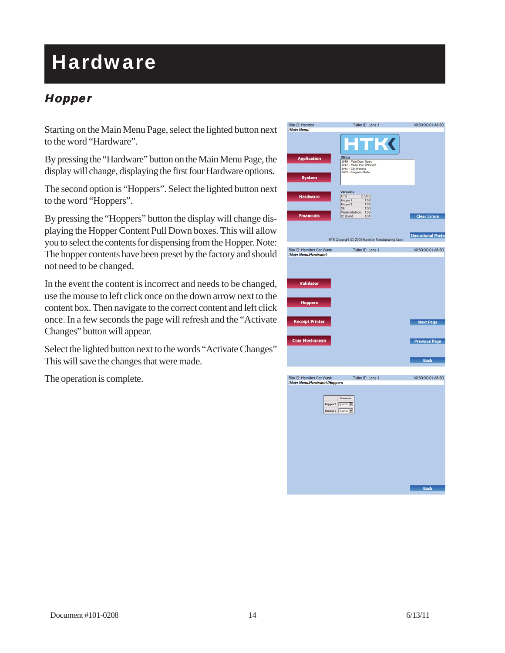### **Hardware**

#### **Hopper**

Starting on the Main Menu Page, select the lighted button next to the word "Hardware".

By pressing the "Hardware" button on the Main Menu Page, the display will change, displaying the first four Hardware options.

The second option is "Hoppers". Select the lighted button next to the word "Hoppers".

By pressing the "Hoppers" button the display will change displaying the Hopper Content Pull Down boxes. This will allow you to select the contents for dispensing from the Hopper. Note: The hopper contents have been preset by the factory and should not need to be changed.

In the event the content is incorrect and needs to be changed, use the mouse to left click once on the down arrow next to the content box. Then navigate to the correct content and left click once. In a few seconds the page will refresh and the "Activate Changes" button will appear.

Select the lighted button next to the words "Activate Changes" This will save the changes that were made.

| Site ID: Hamiton<br>/Main Menu/                            | Teller ID: Lane 1                                                                                                                              | 00:60:0C:01:A8:6C       |
|------------------------------------------------------------|------------------------------------------------------------------------------------------------------------------------------------------------|-------------------------|
| <b>Application</b><br><b>System</b>                        | $\blacktriangleleft$<br><b>Status</b><br>1040 - Main Door Open<br>1042 - Main Door Unlocked<br>1041 - Car Present<br>1002 - Program Mode       |                         |
| <b>Hardware</b><br><b>Financials</b>                       | <b>Versions</b><br>Hoppert 2000<br><b>HTK</b><br>Propert 1.03<br>Hopper2 1.03<br>XE<br>XE<br>Wash Interface 1.05<br>of 1.01<br><b>IO</b> Board | <b>Clear Errors</b>     |
|                                                            | HTK Copyright (C) 2008 Hamilton Manufacturing Corp.                                                                                            | <b>Operational Mode</b> |
| Site ID: Hamilton Car Wash                                 | Teller ID: Lane 1                                                                                                                              | 00:60:0C:01:A8:6C       |
| <b>Hoppers</b><br><b>Receipt Printer</b>                   |                                                                                                                                                | <b>Next Page</b>        |
| <b>Coin Mechanism</b>                                      |                                                                                                                                                | <b>Previous Page</b>    |
|                                                            |                                                                                                                                                | <b>Back</b>             |
| Site ID: Hamilton Car Wash<br>/Main Menu/Hardware1/Hoppers | Teller ID: Lane 1                                                                                                                              | 00:60:0C:01:A8:6C       |
|                                                            | Contents<br>Hopper 1 Quarter<br>Hopper 2 Quarter                                                                                               |                         |
|                                                            |                                                                                                                                                | <b>Back</b>             |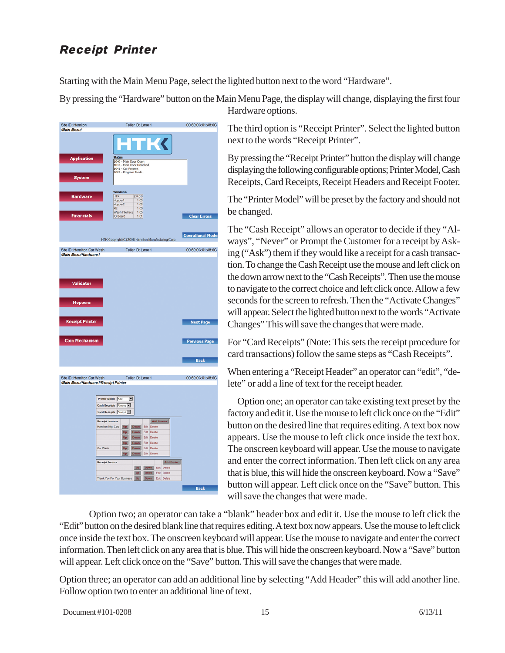#### **Receipt Printer**

Starting with the Main Menu Page, select the lighted button next to the word "Hardware".

By pressing the "Hardware" button on the Main Menu Page, the display will change, displaying the first four Hardware options.



The third option is "Receipt Printer". Select the lighted button next to the words "Receipt Printer".

By pressing the "Receipt Printer" button the display will change displaying the following configurable options; Printer Model, Cash Receipts, Card Receipts, Receipt Headers and Receipt Footer.

The "Printer Model" will be preset by the factory and should not be changed.

The "Cash Receipt" allows an operator to decide if they "Always", "Never" or Prompt the Customer for a receipt by Asking ("Ask") them if they would like a receipt for a cash transaction. To change the Cash Receipt use the mouse and left click on the down arrow next to the "Cash Receipts". Then use the mouse to navigate to the correct choice and left click once. Allow a few seconds for the screen to refresh. Then the "Activate Changes" will appear. Select the lighted button next to the words "Activate Changes" This will save the changes that were made.

For "Card Receipts" (Note: This sets the receipt procedure for card transactions) follow the same steps as "Cash Receipts".

When entering a "Receipt Header" an operator can "edit", "delete" or add a line of text for the receipt header.

Option one; an operator can take existing text preset by the factory and edit it. Use the mouse to left click once on the "Edit" button on the desired line that requires editing. A text box now appears. Use the mouse to left click once inside the text box. The onscreen keyboard will appear. Use the mouse to navigate and enter the correct information. Then left click on any area that is blue, this will hide the onscreen keyboard. Now a "Save" button will appear. Left click once on the "Save" button. This will save the changes that were made.

Option two; an operator can take a "blank" header box and edit it. Use the mouse to left click the "Edit" button on the desired blank line that requires editing. A text box now appears. Use the mouse to left click once inside the text box. The onscreen keyboard will appear. Use the mouse to navigate and enter the correct information. Then left click on any area that is blue. This will hide the onscreen keyboard. Now a "Save" button will appear. Left click once on the "Save" button. This will save the changes that were made.

Option three; an operator can add an additional line by selecting "Add Header" this will add another line. Follow option two to enter an additional line of text.

Document #101-0208 15 6/13/11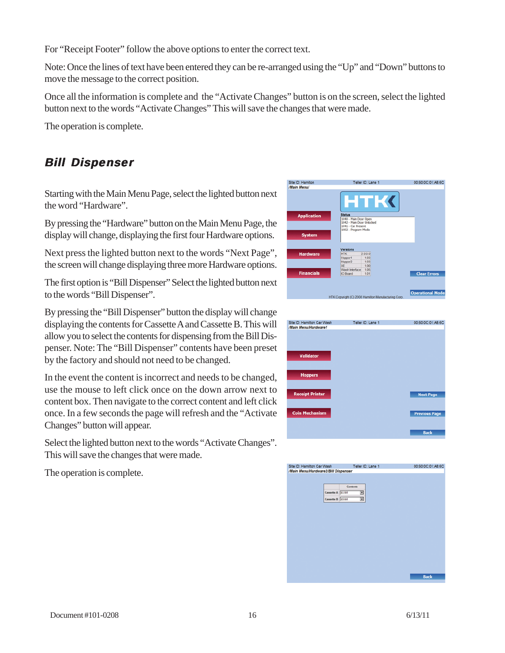For "Receipt Footer" follow the above options to enter the correct text.

Note: Once the lines of text have been entered they can be re-arranged using the "Up" and "Down" buttons to move the message to the correct position.

Once all the information is complete and the "Activate Changes" button is on the screen, select the lighted button next to the words "Activate Changes" This will save the changes that were made.

The operation is complete.

#### **Bill Dispenser**

Starting with the Main Menu Page, select the lighted button next the word "Hardware".

By pressing the "Hardware" button on the Main Menu Page, the display will change, displaying the first four Hardware options.

Next press the lighted button next to the words "Next Page", the screen will change displaying three more Hardware options.

The first option is "Bill Dispenser" Select the lighted button next to the words "Bill Dispenser".

By pressing the "Bill Dispenser" button the display will change displaying the contents for Cassette A and Cassette B. This will allow you to select the contents for dispensing from the Bill Dispenser. Note: The "Bill Dispenser" contents have been preset by the factory and should not need to be changed.

In the event the content is incorrect and needs to be changed, use the mouse to left click once on the down arrow next to content box. Then navigate to the correct content and left click once. In a few seconds the page will refresh and the "Activate Changes" button will appear.

Select the lighted button next to the words "Activate Changes". This will save the changes that were made.

| Site ID: Hamiton   | Teller ID: Lane 1                                                                               | 00:60:0C:01:A8:6C       |
|--------------------|-------------------------------------------------------------------------------------------------|-------------------------|
| <b>Main Menu/</b>  |                                                                                                 |                         |
|                    | HTK                                                                                             |                         |
| <b>Application</b> | <b>Status</b>                                                                                   |                         |
| <b>System</b>      | 1040 - Main Door Open<br>1042 - Main Door Unlocked<br>1041 - Car Present<br>1002 - Program Mode |                         |
|                    | <b>Versions</b>                                                                                 |                         |
| <b>Hardware</b>    | 2000<br><b>HTK</b><br>1.03<br>Hopper1<br>1.03                                                   |                         |
|                    | Hopper2<br><b>XF</b><br>1.00                                                                    |                         |
| <b>Financials</b>  | Wash Interface<br>1.05<br>IO Board<br>1.01                                                      | <b>Clear Errors</b>     |
|                    | HTK Copyright (C) 2008 Hamilton Manufacturing Corp.                                             | <b>Operational Mode</b> |

| Site ID: Hamilton Car Wash | Teller ID: Lane 1 | 00:60:0C:01:A8:6C    |
|----------------------------|-------------------|----------------------|
| /Main Menu/Hardware1       |                   |                      |
|                            |                   |                      |
|                            |                   |                      |
|                            |                   |                      |
|                            |                   |                      |
| <b>Validator</b>           |                   |                      |
|                            |                   |                      |
|                            |                   |                      |
|                            |                   |                      |
| <b>Hoppers</b>             |                   |                      |
|                            |                   |                      |
|                            |                   |                      |
|                            |                   |                      |
| <b>Receipt Printer</b>     |                   | <b>Next Page</b>     |
|                            |                   |                      |
|                            |                   |                      |
|                            |                   |                      |
| <b>Coin Mechanism</b>      |                   | <b>Previous Page</b> |
|                            |                   |                      |
|                            |                   |                      |
|                            |                   |                      |
|                            |                   | <b>Back</b>          |
|                            |                   |                      |

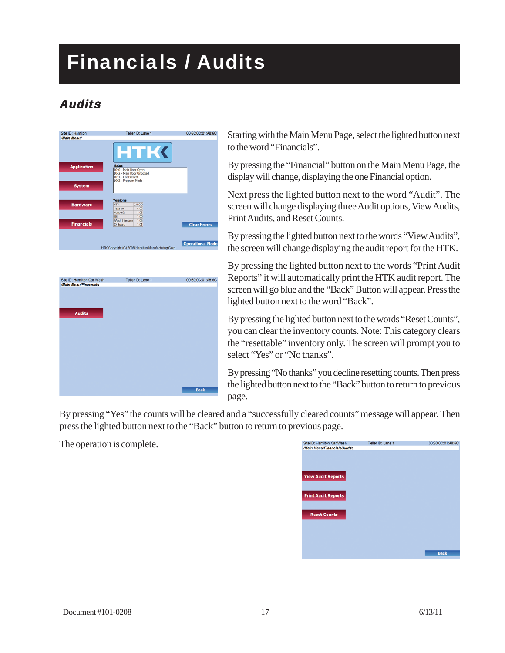### Financials / Audits

#### Audits





Starting with the Main Menu Page, select the lighted button next to the word "Financials".

By pressing the "Financial" button on the Main Menu Page, the display will change, displaying the one Financial option.

Next press the lighted button next to the word "Audit". The screen will change displaying three Audit options, View Audits, Print Audits, and Reset Counts.

By pressing the lighted button next to the words "View Audits", the screen will change displaying the audit report for the HTK.

By pressing the lighted button next to the words "Print Audit Reports" it will automatically print the HTK audit report. The screen will go blue and the "Back" Button will appear. Press the lighted button next to the word "Back".

By pressing the lighted button next to the words "Reset Counts", you can clear the inventory counts. Note: This category clears the "resettable" inventory only. The screen will prompt you to select "Yes" or "No thanks".

By pressing "No thanks" you decline resetting counts. Then press the lighted button next to the "Back" button to return to previous page.

By pressing "Yes" the counts will be cleared and a "successfully cleared counts" message will appear. Then press the lighted button next to the "Back" button to return to previous page.

| Site ID: Hamilton Car Wash   | Teller ID: Lane 1 | 00:60:0C:01:A8:6C |
|------------------------------|-------------------|-------------------|
| /Main Menu/Financials/Audits |                   |                   |
|                              |                   |                   |
|                              |                   |                   |
|                              |                   |                   |
|                              |                   |                   |
|                              |                   |                   |
| <b>View Audit Reports</b>    |                   |                   |
|                              |                   |                   |
|                              |                   |                   |
|                              |                   |                   |
| <b>Print Audit Reports</b>   |                   |                   |
|                              |                   |                   |
|                              |                   |                   |
|                              |                   |                   |
| <b>Reset Counts</b>          |                   |                   |
|                              |                   |                   |
|                              |                   |                   |
|                              |                   |                   |
|                              |                   |                   |
|                              |                   |                   |
|                              |                   |                   |
|                              |                   |                   |
|                              |                   | <b>Back</b>       |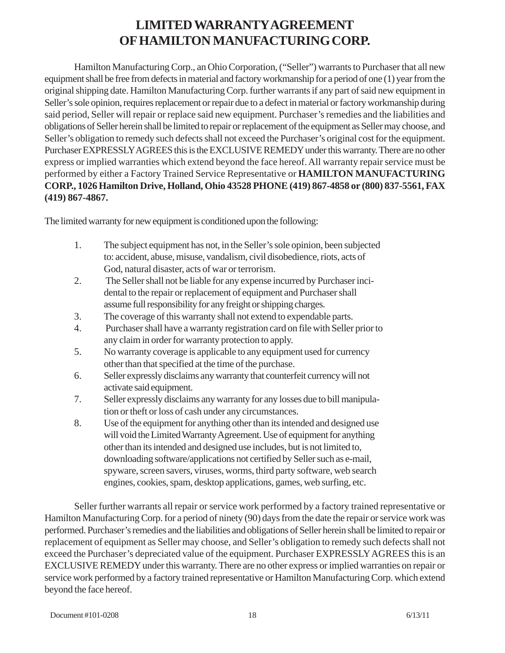#### **LIMITED WARRANTY AGREEMENT OF HAMILTON MANUFACTURING CORP.**

Hamilton Manufacturing Corp., an Ohio Corporation, ("Seller") warrants to Purchaser that all new equipment shall be free from defects in material and factory workmanship for a period of one (1) year from the original shipping date. Hamilton Manufacturing Corp. further warrants if any part of said new equipment in Seller's sole opinion, requires replacement or repair due to a defect in material or factory workmanship during said period, Seller will repair or replace said new equipment. Purchaser's remedies and the liabilities and obligations of Seller herein shall be limited to repair or replacement of the equipment as Seller may choose, and Seller's obligation to remedy such defects shall not exceed the Purchaser's original cost for the equipment. Purchaser EXPRESSLY AGREES this is the EXCLUSIVE REMEDY under this warranty. There are no other express or implied warranties which extend beyond the face hereof. All warranty repair service must be performed by either a Factory Trained Service Representative or **HAMILTON MANUFACTURING CORP., 1026 Hamilton Drive, Holland, Ohio 43528 PHONE (419) 867-4858 or (800) 837-5561, FAX (419) 867-4867.**

The limited warranty for new equipment is conditioned upon the following:

- 1. The subject equipment has not, in the Seller's sole opinion, been subjected to: accident, abuse, misuse, vandalism, civil disobedience, riots, acts of God, natural disaster, acts of war or terrorism.
- 2. The Seller shall not be liable for any expense incurred by Purchaser incidental to the repair or replacement of equipment and Purchaser shall assume full responsibility for any freight or shipping charges.
- 3. The coverage of this warranty shall not extend to expendable parts.
- 4. Purchaser shall have a warranty registration card on file with Seller prior to any claim in order for warranty protection to apply.
- 5. No warranty coverage is applicable to any equipment used for currency other than that specified at the time of the purchase.
- 6. Seller expressly disclaims any warranty that counterfeit currency will not activate said equipment.
- 7. Seller expressly disclaims any warranty for any losses due to bill manipulation or theft or loss of cash under any circumstances.
- 8. Use of the equipment for anything other than its intended and designed use will void the Limited Warranty Agreement. Use of equipment for anything other than its intended and designed use includes, but is not limited to, downloading software/applications not certified by Seller such as e-mail, spyware, screen savers, viruses, worms, third party software, web search engines, cookies, spam, desktop applications, games, web surfing, etc.

Seller further warrants all repair or service work performed by a factory trained representative or Hamilton Manufacturing Corp. for a period of ninety (90) days from the date the repair or service work was performed. Purchaser's remedies and the liabilities and obligations of Seller herein shall be limited to repair or replacement of equipment as Seller may choose, and Seller's obligation to remedy such defects shall not exceed the Purchaser's depreciated value of the equipment. Purchaser EXPRESSLY AGREES this is an EXCLUSIVE REMEDY under this warranty. There are no other express or implied warranties on repair or service work performed by a factory trained representative or Hamilton Manufacturing Corp. which extend beyond the face hereof.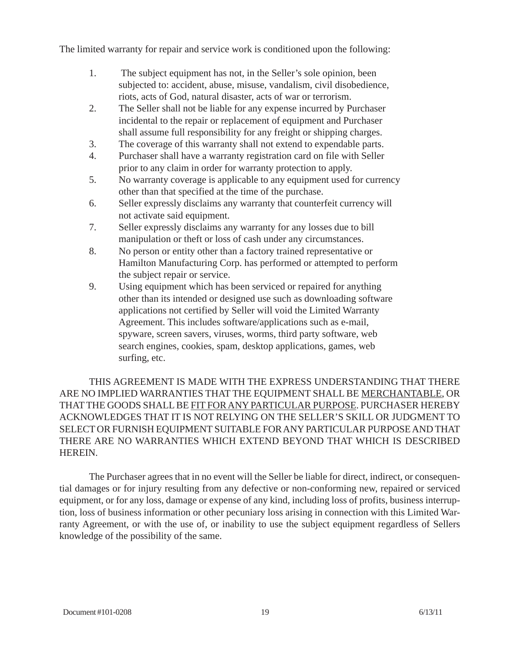The limited warranty for repair and service work is conditioned upon the following:

- 1. The subject equipment has not, in the Seller's sole opinion, been subjected to: accident, abuse, misuse, vandalism, civil disobedience, riots, acts of God, natural disaster, acts of war or terrorism.
- 2. The Seller shall not be liable for any expense incurred by Purchaser incidental to the repair or replacement of equipment and Purchaser shall assume full responsibility for any freight or shipping charges.
- 3. The coverage of this warranty shall not extend to expendable parts.
- 4. Purchaser shall have a warranty registration card on file with Seller prior to any claim in order for warranty protection to apply.
- 5. No warranty coverage is applicable to any equipment used for currency other than that specified at the time of the purchase.
- 6. Seller expressly disclaims any warranty that counterfeit currency will not activate said equipment.
- 7. Seller expressly disclaims any warranty for any losses due to bill manipulation or theft or loss of cash under any circumstances.
- 8. No person or entity other than a factory trained representative or Hamilton Manufacturing Corp. has performed or attempted to perform the subject repair or service.
- 9. Using equipment which has been serviced or repaired for anything other than its intended or designed use such as downloading software applications not certified by Seller will void the Limited Warranty Agreement. This includes software/applications such as e-mail, spyware, screen savers, viruses, worms, third party software, web search engines, cookies, spam, desktop applications, games, web surfing, etc.

THIS AGREEMENT IS MADE WITH THE EXPRESS UNDERSTANDING THAT THERE ARE NO IMPLIED WARRANTIES THAT THE EQUIPMENT SHALL BE MERCHANTABLE, OR THAT THE GOODS SHALL BE FIT FOR ANY PARTICULAR PURPOSE. PURCHASER HEREBY ACKNOWLEDGES THAT IT IS NOT RELYING ON THE SELLER'S SKILL OR JUDGMENT TO SELECT OR FURNISH EQUIPMENT SUITABLE FOR ANY PARTICULAR PURPOSE AND THAT THERE ARE NO WARRANTIES WHICH EXTEND BEYOND THAT WHICH IS DESCRIBED HEREIN.

The Purchaser agrees that in no event will the Seller be liable for direct, indirect, or consequential damages or for injury resulting from any defective or non-conforming new, repaired or serviced equipment, or for any loss, damage or expense of any kind, including loss of profits, business interruption, loss of business information or other pecuniary loss arising in connection with this Limited Warranty Agreement, or with the use of, or inability to use the subject equipment regardless of Sellers knowledge of the possibility of the same.